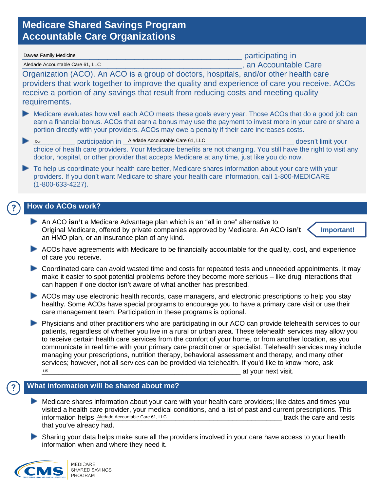## **Medicare Shared Savings Program Accountable Care Organizations**

| Dawes Family Medicine                                                                                                                                                                                                                                                                                                                                                                                                                                                                                                                                                                                                                                                | participating in         |
|----------------------------------------------------------------------------------------------------------------------------------------------------------------------------------------------------------------------------------------------------------------------------------------------------------------------------------------------------------------------------------------------------------------------------------------------------------------------------------------------------------------------------------------------------------------------------------------------------------------------------------------------------------------------|--------------------------|
| Aledade Accountable Care 61, LLC                                                                                                                                                                                                                                                                                                                                                                                                                                                                                                                                                                                                                                     | stan Accountable Care    |
| Organization (ACO). An ACO is a group of doctors, hospitals, and/or other health care<br>providers that work together to improve the quality and experience of care you receive. ACOs<br>receive a portion of any savings that result from reducing costs and meeting quality<br>requirements.                                                                                                                                                                                                                                                                                                                                                                       |                          |
| Medicare evaluates how well each ACO meets these goals every year. Those ACOs that do a good job can<br>earn a financial bonus. ACOs that earn a bonus may use the payment to invest more in your care or share a<br>portion directly with your providers. ACOs may owe a penalty if their care increases costs.                                                                                                                                                                                                                                                                                                                                                     |                          |
| participation in Aledade Accountable Care 61, LLC<br>Þ<br>Our<br>choice of health care providers. Your Medicare benefits are not changing. You still have the right to visit any<br>doctor, hospital, or other provider that accepts Medicare at any time, just like you do now.                                                                                                                                                                                                                                                                                                                                                                                     | doesn't limit your       |
| To help us coordinate your health care better, Medicare shares information about your care with your<br>providers. If you don't want Medicare to share your health care information, call 1-800-MEDICARE<br>$(1 - 800 - 633 - 4227)$ .                                                                                                                                                                                                                                                                                                                                                                                                                               |                          |
| <b>How do ACOs work?</b>                                                                                                                                                                                                                                                                                                                                                                                                                                                                                                                                                                                                                                             |                          |
| An ACO isn't a Medicare Advantage plan which is an "all in one" alternative to<br>Original Medicare, offered by private companies approved by Medicare. An ACO isn't<br>Important!<br>an HMO plan, or an insurance plan of any kind.                                                                                                                                                                                                                                                                                                                                                                                                                                 |                          |
| ACOs have agreements with Medicare to be financially accountable for the quality, cost, and experience<br>of care you receive.                                                                                                                                                                                                                                                                                                                                                                                                                                                                                                                                       |                          |
| Coordinated care can avoid wasted time and costs for repeated tests and unneeded appointments. It may<br>make it easier to spot potential problems before they become more serious - like drug interactions that<br>can happen if one doctor isn't aware of what another has prescribed.                                                                                                                                                                                                                                                                                                                                                                             |                          |
| ACOs may use electronic health records, case managers, and electronic prescriptions to help you stay<br>healthy. Some ACOs have special programs to encourage you to have a primary care visit or use their<br>care management team. Participation in these programs is optional.                                                                                                                                                                                                                                                                                                                                                                                    |                          |
| Physicians and other practitioners who are participating in our ACO can provide telehealth services to our<br>patients, regardless of whether you live in a rural or urban area. These telehealth services may allow you<br>to receive certain health care services from the comfort of your home, or from another location, as you<br>communicate in real time with your primary care practitioner or specialist. Telehealth services may include<br>managing your prescriptions, nutrition therapy, behavioral assessment and therapy, and many other<br>services; however, not all services can be provided via telehealth. If you'd like to know more, ask<br>us | at your next visit.      |
| What information will be shared about me?                                                                                                                                                                                                                                                                                                                                                                                                                                                                                                                                                                                                                            |                          |
| Medicare shares information about your care with your health care providers; like dates and times you<br>visited a health care provider, your medical conditions, and a list of past and current prescriptions. This<br>information helps Aledade Accountable Care 61, LLC<br>that you've already had.                                                                                                                                                                                                                                                                                                                                                               | track the care and tests |

Sharing your data helps make sure all the providers involved in your care have access to your health information when and where they need it.



 $^{\prime}$  ?

 $( ? )$